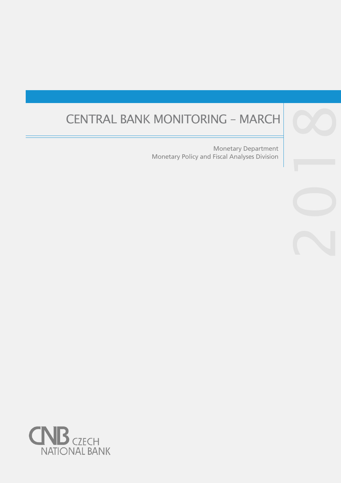# CENTRAL BANK MONITORING – MARCH

Monetary Policy and Fiscal Analyses Division Monetary Department

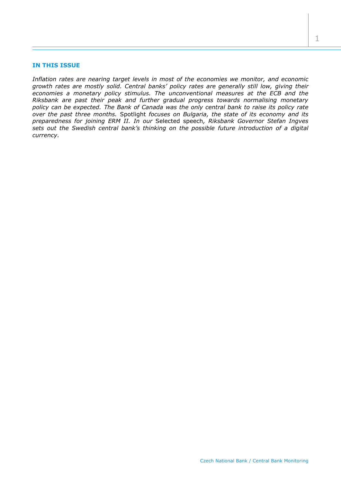### **IN THIS ISSUE**

*Inflation rates are nearing target levels in most of the economies we monitor, and economic growth rates are mostly solid. Central banks' policy rates are generally still low, giving their*  economies a monetary policy stimulus. The unconventional measures at the ECB and the *Riksbank are past their peak and further gradual progress towards normalising monetary policy can be expected. The Bank of Canada was the only central bank to raise its policy rate over the past three months.* Spotlight *focuses on Bulgaria, the state of its economy and its preparedness for joining ERM II. In our* Selected speech*, Riksbank Governor Stefan Ingves sets out the Swedish central bank's thinking on the possible future introduction of a digital currency.*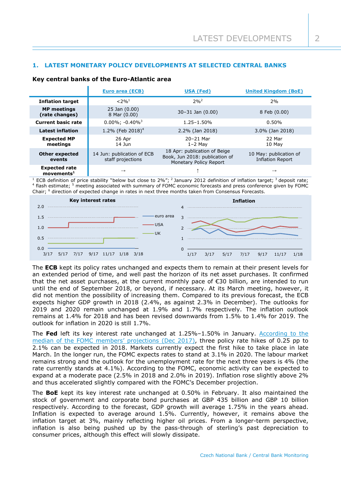## **1. LATEST MONETARY POLICY DEVELOPMENTS AT SELECTED CENTRAL BANKS**

#### **Key central banks of the Euro-Atlantic area**

|                                                   | <b>Euro area (ECB)</b>                          | <b>USA (Fed)</b>                                                                         | <b>United Kingdom (BoE)</b>                       |
|---------------------------------------------------|-------------------------------------------------|------------------------------------------------------------------------------------------|---------------------------------------------------|
| <b>Inflation target</b>                           | $< 2\%$ <sup>1</sup>                            | $2\%^{2}$                                                                                | 2%                                                |
| <b>MP</b> meetings<br>(rate changes)              | $25$ Jan $(0.00)$<br>8 Mar (0.00)               | $30 - 31$ Jan $(0.00)$                                                                   | 8 Feb (0.00)                                      |
| <b>Current basic rate</b>                         | $0.00\%$ ; -0.40% <sup>3</sup>                  | $1.25 - 1.50%$                                                                           | 0.50%                                             |
| <b>Latest inflation</b>                           | 1.2% (Feb 2018) <sup>4</sup>                    | 2.2% (Jan 2018)                                                                          | $3.0\%$ (Jan 2018)                                |
| <b>Expected MP</b><br>meetings                    | 26 Apr<br>$14$ Jun                              | 20-21 Mar<br>$1-2$ May                                                                   | 22 Mar<br>10 May                                  |
| <b>Other expected</b><br>events                   | 14 Jun: publication of ECB<br>staff projections | 18 Apr: publication of Beige<br>Book, Jun 2018: publication of<br>Monetary Policy Report | 10 May: publication of<br><b>Inflation Report</b> |
| <b>Expected rate</b><br>$move$ ments <sup>1</sup> | $\rightarrow$                                   |                                                                                          | $\rightarrow$                                     |

<sup>1</sup> ECB definition of price stability "below but close to  $2\%$ "; <sup>2</sup> January 2012 definition of inflation target; <sup>3</sup> deposit rate; <sup>4</sup> flash estimate; <sup>5</sup> meeting associated with summary of FOMC economic forecasts and press conference given by FOMC Chair; <sup>6</sup> direction of expected change in rates in next three months taken from Consensus Forecasts.



The **ECB** kept its policy rates unchanged and expects them to remain at their present levels for an extended period of time, and well past the horizon of its net asset purchases. It confirmed that the net asset purchases, at the current monthly pace of €30 billion, are intended to run until the end of September 2018, or beyond, if necessary. At its March meeting, however, it did not mention the possibility of increasing them. Compared to its previous forecast, the ECB expects higher GDP growth in 2018 (2.4%, as against 2.3% in December). The outlooks for 2019 and 2020 remain unchanged at 1.9% and 1.7% respectively. The inflation outlook remains at 1.4% for 2018 and has been revised downwards from 1.5% to 1.4% for 2019. The outlook for inflation in 2020 is still 1.7%.

The **Fed** left its key interest rate unchanged at 1.25%–1.50% in January. [According to the](https://www.federalreserve.gov/monetarypolicy/files/fomcprojtabl20171213.pdf)  [median of the FOMC members](https://www.federalreserve.gov/monetarypolicy/files/fomcprojtabl20171213.pdf)' projections (Dec 2017), three policy rate hikes of 0.25 pp to 2.1% can be expected in 2018. Markets currently expect the first hike to take place in late March. In the longer run, the FOMC expects rates to stand at 3.1% in 2020. The labour market remains strong and the outlook for the unemployment rate for the next three years is 4% (the rate currently stands at 4.1%). According to the FOMC, economic activity can be expected to expand at a moderate pace (2.5% in 2018 and 2.0% in 2019). Inflation rose slightly above 2% and thus accelerated slightly compared with the FOMC's December projection.

The **BoE** kept its key interest rate unchanged at 0.50% in February. It also maintained the stock of government and corporate bond purchases at GBP 435 billion and GBP 10 billion respectively. According to the forecast, GDP growth will average 1.75% in the years ahead. Inflation is expected to average around 1.5%. Currently, however, it remains above the inflation target at 3%, mainly reflecting higher oil prices. From a longer-term perspective, inflation is also being pushed up by the pass-through of sterling's past depreciation to consumer prices, although this effect will slowly dissipate.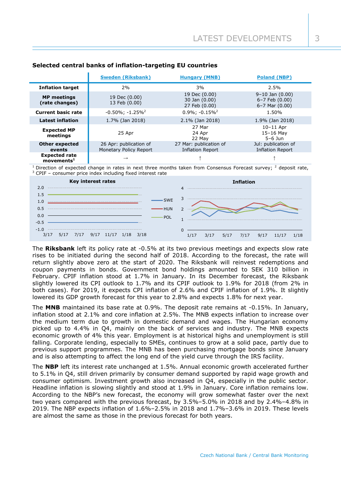|                                                  | <b>Sweden (Riksbank)</b>                         | <b>Hungary (MNB)</b>                              | <b>Poland (NBP)</b>                                                 |  |  |  |
|--------------------------------------------------|--------------------------------------------------|---------------------------------------------------|---------------------------------------------------------------------|--|--|--|
| <b>Inflation target</b>                          | 2%                                               | 3%                                                | 2.5%                                                                |  |  |  |
| <b>MP</b> meetings<br>(rate changes)             | 19 Dec (0.00)<br>13 Feb (0.00)                   | 19 Dec (0.00)<br>30 Jan (0.00)<br>27 Feb (0.00)   | $9-10$ Jan $(0.00)$<br>$6 - 7$ Feb $(0.00)$<br>$6 - 7$ Mar $(0.00)$ |  |  |  |
| <b>Current basic rate</b>                        | $-0.50\%$ ; $-1.25\%$ <sup>2</sup>               | $0.9\%$ ; $-0.15\%$ <sup>2</sup>                  | 1.50%                                                               |  |  |  |
| <b>Latest inflation</b>                          | 1.7% (Jan 2018)                                  | $2.1\%$ (Jan 2018)                                | 1.9% (Jan 2018)                                                     |  |  |  |
| <b>Expected MP</b><br>meetings                   | 25 Apr                                           | 27 Mar<br>24 Apr<br>22 May                        | $10-11$ Apr<br>$15-16$ May<br>$5-6$ Jun                             |  |  |  |
| <b>Other expected</b><br>events                  | 26 Apr: publication of<br>Monetary Policy Report | 27 Mar: publication of<br><b>Inflation Report</b> | Jul: publication of<br><b>Inflation Report</b>                      |  |  |  |
| <b>Expected rate</b><br>$move$ mnts <sup>1</sup> | $\rightarrow$                                    |                                                   |                                                                     |  |  |  |

## **Selected central banks of inflation-targeting EU countries**

Direction of expected change in rates in next three months taken from Consensus Forecast survey; <sup>2</sup> deposit rate, <sup>3</sup> CPIF – consumer price index including fixed interest rate



The **Riksbank** left its policy rate at -0.5% at its two previous meetings and expects slow rate rises to be initiated during the second half of 2018. According to the forecast, the rate will return slightly above zero at the start of 2020. The Riksbank will reinvest redemptions and coupon payments in bonds. Government bond holdings amounted to SEK 310 billion in February. CPIF inflation stood at 1.7% in January. In its December forecast, the Riksbank slightly lowered its CPI outlook to 1.7% and its CPIF outlook to 1.9% for 2018 (from 2% in both cases). For 2019, it expects CPI inflation of 2.6% and CPIF inflation of 1.9%. It slightly lowered its GDP growth forecast for this year to 2.8% and expects 1.8% for next year.

The **MNB** maintained its base rate at 0.9%. The deposit rate remains at -0.15%. In January, inflation stood at 2.1% and core inflation at 2.5%. The MNB expects inflation to increase over the medium term due to growth in domestic demand and wages. The Hungarian economy picked up to 4.4% in Q4, mainly on the back of services and industry. The MNB expects economic growth of 4% this year. Employment is at historical highs and unemployment is still falling. Corporate lending, especially to SMEs, continues to grow at a solid pace, partly due to previous support programmes. The MNB has been purchasing mortgage bonds since January and is also attempting to affect the long end of the yield curve through the IRS facility.

The **NBP** left its interest rate unchanged at 1.5%. Annual economic growth accelerated further to 5.1% in Q4, still driven primarily by consumer demand supported by rapid wage growth and consumer optimism. Investment growth also increased in Q4, especially in the public sector. Headline inflation is slowing slightly and stood at 1.9% in January. Core inflation remains low. According to the NBP's new forecast, the economy will grow somewhat faster over the next two years compared with the previous forecast, by 3.5%–5.0% in 2018 and by 2.4%–4.8% in 2019. The NBP expects inflation of 1.6%–2.5% in 2018 and 1.7%–3.6% in 2019. These levels are almost the same as those in the previous forecast for both years.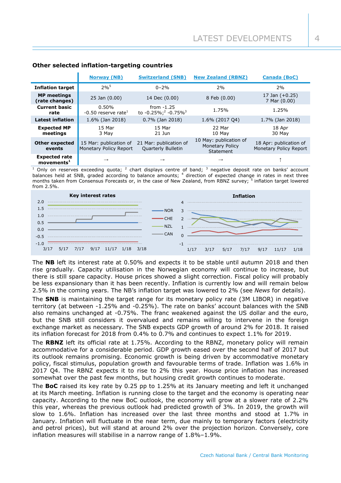|                                                   | <b>Norway (NB)</b>                               | <b>Switzerland (SNB)</b>                                    | <b>New Zealand (RBNZ)</b>                                     | <b>Canada (BoC)</b>                              |
|---------------------------------------------------|--------------------------------------------------|-------------------------------------------------------------|---------------------------------------------------------------|--------------------------------------------------|
| <b>Inflation target</b>                           | $2%^{5}$                                         | $0 - 2%$                                                    | 2%                                                            | 2%                                               |
| <b>MP</b> meetings<br>(rate changes)              | $25$ Jan $(0.00)$                                | 14 Dec (0.00)                                               | 8 Feb (0.00)                                                  | 17 Jan $(+0.25)$<br>7 Mar (0.00)                 |
| <b>Current basic</b><br>rate                      | 0.50%<br>$-0.50$ reserve rate <sup>1</sup>       | from $-1.25$<br>to -0.25%; <sup>2</sup> -0.75% <sup>3</sup> | 1.75%                                                         | 1.25%                                            |
| <b>Latest inflation</b>                           | 1.6% (Jan 2018)                                  | $0.7\%$ (Jan 2018)                                          | 1.6% (2017 04)                                                | 1.7% (Jan 2018)                                  |
| <b>Expected MP</b><br>meetings                    | 15 Mar<br>3 May                                  | 15 Mar<br>$21$ Jun                                          | 22 Mar<br>10 May                                              | 18 Apr<br>30 May                                 |
| <b>Other expected</b><br>events                   | 15 Mar: publication of<br>Monetary Policy Report | 21 Mar: publication of<br><b>Quarterly Bulletin</b>         | 10 May: publication of<br><b>Monetary Policy</b><br>Statement | 18 Apr: publication of<br>Monetary Policy Report |
| <b>Expected rate</b><br>$move$ ments <sup>1</sup> | $\rightarrow$                                    | $\rightarrow$                                               | $\rightarrow$                                                 |                                                  |

## **Other selected inflation-targeting countries**

<sup>1</sup> Only on reserves exceeding quota; <sup>2</sup> chart displays centre of band; <sup>3</sup> negative deposit rate on banks' account balances held at SNB, graded according to balance amounts; <sup>4</sup> direction of expected change in rates in next three months taken from Consensus Forecasts or, in the case of New Zealand, from RBNZ survey; <sup>5</sup> inflation target lowered from 2.5%.



The **NB** left its interest rate at 0.50% and expects it to be stable until autumn 2018 and then rise gradually. Capacity utilisation in the Norwegian economy will continue to increase, but there is still spare capacity. House prices showed a slight correction. Fiscal policy will probably be less expansionary than it has been recently. Inflation is currently low and will remain below 2.5% in the coming years. The NB's inflation target was lowered to 2% (see *News* for details).

The **SNB** is maintaining the target range for its monetary policy rate (3M LIBOR) in negative territory (at between -1.25% and -0.25%). The rate on banks' account balances with the SNB also remains unchanged at -0.75%. The franc weakened against the US dollar and the euro, but the SNB still considers it overvalued and remains willing to intervene in the foreign exchange market as necessary. The SNB expects GDP growth of around 2% for 2018. It raised its inflation forecast for 2018 from 0.4% to 0.7% and continues to expect 1.1% for 2019.

The **RBNZ** left its official rate at 1.75%. According to the RBNZ, monetary policy will remain accommodative for a considerable period. GDP growth eased over the second half of 2017 but its outlook remains promising. Economic growth is being driven by accommodative monetary policy, fiscal stimulus, population growth and favourable terms of trade. Inflation was 1.6% in 2017 Q4. The RBNZ expects it to rise to 2% this year. House price inflation has increased somewhat over the past few months, but housing credit growth continues to moderate.

The **BoC** raised its key rate by 0.25 pp to 1.25% at its January meeting and left it unchanged at its March meeting. Inflation is running close to the target and the economy is operating near capacity. According to the new BoC outlook, the economy will grow at a slower rate of 2.2% this year, whereas the previous outlook had predicted growth of 3%. In 2019, the growth will slow to 1.6%. Inflation has increased over the last three months and stood at 1.7% in January. Inflation will fluctuate in the near term, due mainly to temporary factors (electricity and petrol prices), but will stand at around 2% over the projection horizon. Conversely, core inflation measures will stabilise in a narrow range of 1.8%–1.9%.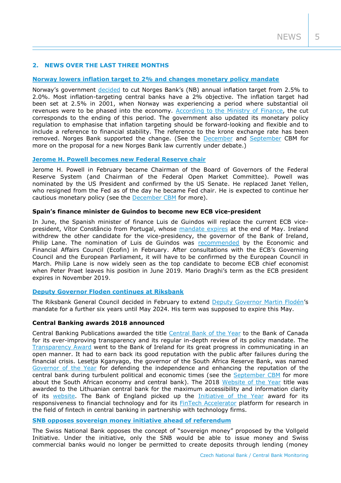## **2. NEWS OVER THE LAST THREE MONTHS**

## **[Norway lowers inflation target to 2% and changes monetary policy mandate](https://www.norges-bank.no/en/Published/Press-releases/2018/2018-03-02-press-release/)**

Norway's government [decided](https://www.regjeringen.no/en/aktuelt/new-regulation-on-monetary-policy/id2592551/) to cut Norges Bank's (NB) annual inflation target from 2.5% to 2.0%. Most inflation-targeting central banks have a 2% objective. The inflation target had been set at 2.5% in 2001, when Norway was experiencing a period where substantial oil revenues were to be phased into the economy. [According to the Ministry of Finance,](https://www.regjeringen.no/en/whatsnew/Ministries/fin/press-releases/2018/new-regulation-on-monetary-policy/further-background-for-the-modernisation-of-the-regulation-and-the-change-in-the-regulation2/id2592556/) the cut corresponds to the ending of this period. The government also updated its monetary policy regulation to emphasise that inflation targeting should be forward-looking and flexible and to include a reference to financial stability. The reference to the krone exchange rate has been removed. Norges Bank supported the change. (See the [December](http://www.cnb.cz/miranda2/export/sites/www.cnb.cz/en/monetary_policy/monitoring/download/1704_cbm.pdf) and [September](http://www.cnb.cz/miranda2/export/sites/www.cnb.cz/en/monetary_policy/monitoring/download/1703_cbm.pdf) CBM for more on the proposal for a new Norges Bank law currently under debate.)

### **[Jerome H. Powell becomes new Federal Reserve chair](https://www.federalreserve.gov/newsevents/pressreleases/monetary20180131c.htm)**

Jerome H. Powell in February became Chairman of the Board of Governors of the Federal Reserve System (and Chairman of the Federal Open Market Committee). Powell was nominated by the US President and confirmed by the US Senate. He replaced Janet Yellen, who resigned from the Fed as of the day he became Fed chair. He is expected to continue her cautious monetary policy (see the [December CBM](http://www.cnb.cz/miranda2/export/sites/www.cnb.cz/en/monetary_policy/monitoring/download/1704_cbm.pdf) for more).

## **Spain's finance minister de Guindos to become new ECB vice-president**

In June, the Spanish minister of finance Luis de Guindos will replace the current ECB vicepresident, Vítor Constâncio from Portugal, whose [mandate expires](https://www.ecb.europa.eu/ecb/orga/decisions/eb/html/ebtimeline.en.html) at the end of May. Ireland withdrew the other candidate for the vice-presidency, the governor of the Bank of Ireland, Philip Lane. The nomination of Luis de Guindos was [recommended](http://www.consilium.europa.eu/media/32854/st06278-en18.pdf) by the Economic and Financial Affairs Council (Ecofin) in February. After consultations with the ECB's Governing Council and the European Parliament, it will have to be confirmed by the European Council in March. Philip Lane is now widely seen as the top candidate to become ECB chief economist when Peter Praet leaves his position in June 2019. Mario Draghi's term as the ECB president expires in November 2019.

## **[Deputy Governor Floden continues at Riksbank](https://www.riksbank.se/en-gb/press-and-published/notices-and-press-releases/press-releases/2018/martin-flodens-mandate-extended--a-further-six-years/)**

The Riksbank General Council decided in February to extend [Deputy Governor Martin Flodén'](https://www.riksbank.se/en-gb/about-the-riksbank/organisation/the-executive-board/martin-floden/)s mandate for a further six years until May 2024. His term was supposed to expire this May.

#### **Central Banking awards 2018 announced**

Central Banking Publications awarded the title [Central Bank of the Year](https://www.centralbanking.com/awards/3348626/central-bank-of-the-year-bank-of-canada?utm_medium=email&utm_campaign=CB.Awards_News_RL.EU.A.U&utm_source=CB.DCM.Editors_Updates&im_amfcid=13025094&im_amfmdf=bf8f09635755ec43e073bcdab196bfc7) to the Bank of Canada for its ever-improving transparency and its regular in-depth review of its policy mandate. The [Transparency Award](https://www.centralbanking.com/awards/3346446/transparency-central-bank-of-ireland?utm_medium=email&utm_campaign=CB.Awards_News_RL.EU.A.U&utm_source=CB.DCM.Editors_Updates&im_amfcid=13025094&im_amfmdf=bf8f09635755ec43e073bcdab196bfc7) went to the Bank of Ireland for its great progress in communicating in an open manner. It had to earn back its good reputation with the public after failures during the financial crisis. Lesetja Kganyago, the governor of the South Africa Reserve Bank, was named [Governor of the Year](https://www.centralbanking.com/awards/3355801/governor-of-the-year-lesetja-kganyago?utm_medium=email&utm_campaign=CB.Awards_News_RL.EU.A.U&utm_source=CB.DCM.Editors_Updates&im_amfcid=13025094&im_amfmdf=bf8f09635755ec43e073bcdab196bfc7) for defending the independence and enhancing the reputation of the central bank during turbulent political and economic times (see the [September CBM](http://www.cnb.cz/miranda2/export/sites/www.cnb.cz/en/monetary_policy/monitoring/download/1703_cbm.pdf) for more about the South African economy and central bank). The 2018 [Website of the Year](https://www.centralbanking.com/awards/3342786/website-of-the-year-bank-of-lithuania?utm_medium=email&utm_campaign=CB.Awards_News_RL.EU.A.U&utm_source=CB.DCM.Editors_Updates&im_amfcid=13025094&im_amfmdf=bf8f09635755ec43e073bcdab196bfc7) title was awarded to the Lithuanian central bank for the maximum accessibility and information clarity of its [website.](https://www.lb.lt/en/) The Bank of England picked up the [Initiative of the Year](https://www.centralbanking.com/awards/3333176/initiative-of-the-year-bank-of-englands-fintech-accelerator?utm_medium=email&utm_campaign=CB.Awards_News_RL.EU.A.U&utm_source=CB.DCM.Editors_Updates&im_amfcid=13025094&im_amfmdf=bf8f09635755ec43e073bcdab196bfc7) award for its responsiveness to financial technology and for its [FinTech Accelerator](https://www.bankofengland.co.uk/research/fintech) platform for research in the field of fintech in central banking in partnership with technology firms.

## **[SNB opposes sovereign money initiative](https://www.snb.ch/en/ifor/media/dossiers/id/media_dossiers_vollgeld) ahead of referendum**

The Swiss National Bank opposes the concept of "sovereign money" proposed by the Vollgeld Initiative. Under the initiative, only the SNB would be able to issue money and Swiss commercial banks would no longer be permitted to create deposits through lending (money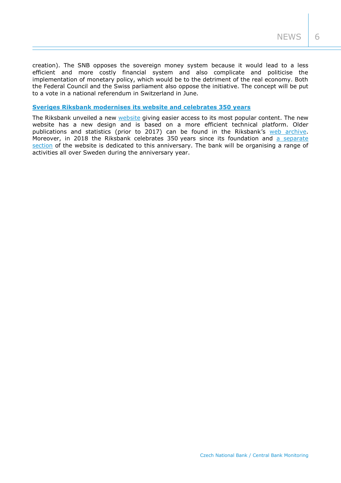creation). The SNB opposes the sovereign money system because it would lead to a less efficient and more costly financial system and also complicate and politicise the implementation of monetary policy, which would be to the detriment of the real economy. Both the Federal Council and the Swiss parliament also oppose the initiative. The concept will be put to a vote in a national referendum in Switzerland in June.

## **Sveriges Riksbank modernises [its website and celebrates 350 years](https://www.riksbank.se/en-gb/press-and-published/notices-and-press-releases/notices/2018/welcome-to-the-new-riksbank.se/)**

The Riksbank unveiled a new [website](https://www.riksbank.se/en-gb/) giving easier access to its most popular content. The new website has a new design and is based on a more efficient technical platform. Older publications and statistics (prior to 2017) can be found in the Riksbank's [web archive.](http://archive.riksbank.se/en/Web-archive/Published/Press-Releases/2007/Rosenberg-Changes-in-monetary-policy-communication/) Moreover, in 2018 the Riksbank celebrates 350 years since its foundation and a separate [section](https://www.riksbank.se/en-gb/about-the-riksbank/the-riksbank-350-years-old/) of the website is dedicated to this anniversary. The bank will be organising a range of activities all over Sweden during the anniversary year.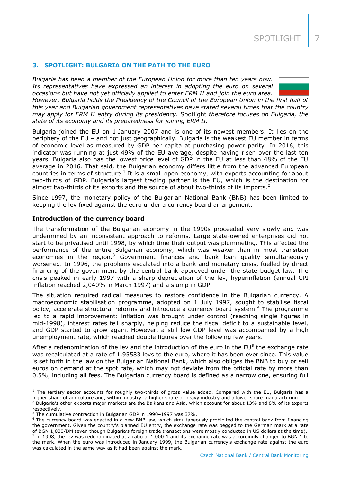## **3. SPOTLIGHT: BULGARIA ON THE PATH TO THE EURO**

*Bulgaria has been a member of the European Union for more than ten years now. Its representatives have expressed an interest in adopting the euro on several occasions but have not yet officially applied to enter ERM II and join the euro area.* 



*However, Bulgaria holds the Presidency of the Council of the European Union in the first half of this year and Bulgarian government representatives have stated several times that the country may apply for ERM II entry during its presidency.* Spotlight *therefore focuses on Bulgaria, the state of its economy and its preparedness for joining ERM II.* 

Bulgaria joined the EU on 1 January 2007 and is one of its newest members. It lies on the periphery of the EU – and not just geographically. Bulgaria is the weakest EU member in terms of economic level as measured by GDP per capita at purchasing power parity. In 2016, this indicator was running at just 49% of the EU average, despite having risen over the last ten years. Bulgaria also has the lowest price level of GDP in the EU at less than 48% of the EU average in 2016. That said, the Bulgarian economy differs little from the advanced European countries in terms of structure.<sup>1</sup> It is a small open economy, with exports accounting for about two-thirds of GDP. Bulgaria's largest trading partner is the EU, which is the destination for almost two-thirds of its exports and the source of about two-thirds of its imports.<sup>2</sup>

Since 1997, the monetary policy of the Bulgarian National Bank (BNB) has been limited to keeping the lev fixed against the euro under a currency board arrangement.

#### **Introduction of the currency board**

The transformation of the Bulgarian economy in the 1990s proceeded very slowly and was undermined by an inconsistent approach to reforms. Large state-owned enterprises did not start to be privatised until 1998, by which time their output was plummeting. This affected the performance of the entire Bulgarian economy, which was weaker than in most transition economies in the region.<sup>3</sup> Government finances and bank loan quality simultaneously worsened. In 1996, the problems escalated into a bank and monetary crisis, fuelled by direct financing of the government by the central bank approved under the state budget law. The crisis peaked in early 1997 with a sharp depreciation of the lev, hyperinflation (annual CPI inflation reached 2,040% in March 1997) and a slump in GDP.

The situation required radical measures to restore confidence in the Bulgarian currency. A macroeconomic stabilisation programme, adopted on 1 July 1997, sought to stabilise fiscal policy, accelerate structural reforms and introduce a currency board system.<sup>4</sup> The programme led to a rapid improvement: inflation was brought under control (reaching single figures in mid-1998), interest rates fell sharply, helping reduce the fiscal deficit to a sustainable level, and GDP started to grow again. However, a still low GDP level was accompanied by a high unemployment rate, which reached double figures over the following few years.

After a redenomination of the lev and the introduction of the euro in the  $EU^5$  the exchange rate was recalculated at a rate of 1.95583 levs to the euro, where it has been ever since. This value is set forth in the law on the Bulgarian National Bank, which also obliges the BNB to buy or sell euros on demand at the spot rate, which may not deviate from the official rate by more than 0.5%, including all fees. The Bulgarian currency board is defined as a narrow one, ensuring full

-

 $1$  The tertiary sector accounts for roughly two-thirds of gross value added. Compared with the EU, Bulgaria has a higher share of agriculture and, within industry, a higher share of heavy industry and a lower share manufacturing.

 $2$  Bulgaria's other exports major markets are the Balkans and Asia, which account for about 13% and 8% of its exports respectively.

<sup>3</sup> The cumulative contraction in Bulgarian GDP in 1990–1997 was 37%.

<sup>4</sup> The currency board was enacted in a new BNB law, which simultaneously prohibited the central bank from financing the government. Given the country's planned EU entry, the exchange rate was pegged to the German mark at a rate of BGN 1,000/DM (even though Bulgaria's foreign trade transactions were mostly conducted in US dollars at the time).  $5$  In 1998, the lev was redenominated at a ratio of 1,000:1 and its exchange rate was accordingly changed to BGN 1 to the mark. When the euro was introduced in January 1999, the Bulgarian currency's exchange rate against the euro was calculated in the same way as it had been against the mark.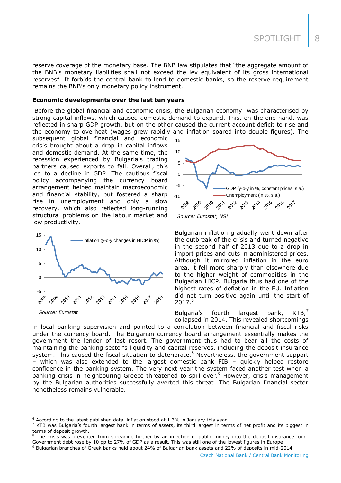SPOTLIGHT 8

reserve coverage of the monetary base. The BNB law stipulates that "the aggregate amount of the BNB's monetary liabilities shall not exceed the lev equivalent of its gross international reserves". It forbids the central bank to lend to domestic banks, so the reserve requirement remains the BNB's only monetary policy instrument.

#### **Economic developments over the last ten years**

Before the global financial and economic crisis, the Bulgarian economy was characterised by strong capital inflows, which caused domestic demand to expand. This, on the one hand, was reflected in sharp GDP growth, but on the other caused the current account deficit to rise and the economy to overheat (wages grew rapidly and inflation soared into double figures). The

subsequent global financial and economic crisis brought about a drop in capital inflows and domestic demand. At the same time, the recession experienced by Bulgaria's trading partners caused exports to fall. Overall, this led to a decline in GDP. The cautious fiscal policy accompanying the currency board arrangement helped maintain macroeconomic and financial stability, but fostered a sharp rise in unemployment and only a slow recovery, which also reflected long-running structural problems on the labour market and low productivity.



-



Bulgarian inflation gradually went down after the outbreak of the crisis and turned negative in the second half of 2013 due to a drop in import prices and cuts in administered prices. Although it mirrored inflation in the euro area, it fell more sharply than elsewhere due to the higher weight of commodities in the Bulgarian HICP. Bulgaria thus had one of the highest rates of deflation in the EU. Inflation did not turn positive again until the start of 2017.<sup>6</sup>

Bulgaria's fourth largest bank,  $KTB$ ,<sup>7</sup> collapsed in 2014. This revealed shortcomings

in local banking supervision and pointed to a correlation between financial and fiscal risks under the currency board. The Bulgarian currency board arrangement essentially makes the government the lender of last resort. The government thus had to bear all the costs of maintaining the banking sector's liquidity and capital reserves, including the deposit insurance system. This caused the fiscal situation to deteriorate.<sup>8</sup> Nevertheless, the government support – which was also extended to the largest domestic bank FIB – quickly helped restore confidence in the banking system. The very next year the system faced another test when a banking crisis in neighbouring Greece threatened to spill over.<sup>9</sup> However, crisis management by the Bulgarian authorities successfully averted this threat. The Bulgarian financial sector nonetheless remains vulnerable.

 $6$  According to the latest published data, inflation stood at 1.3% in January this year.

 $<sup>7</sup>$  KTB was Bulgaria's fourth largest bank in terms of assets, its third largest in terms of net profit and its biggest in</sup> terms of deposit growth.

<sup>&</sup>lt;sup>8</sup> The crisis was prevented from spreading further by an injection of public money into the deposit insurance fund. Government debt rose by 10 pp to 27% of GDP as a result. This was still one of the lowest figures in Europe

<sup>9</sup> Bulgarian branches of Greek banks held about 24% of Bulgarian bank assets and 22% of deposits in mid-2014.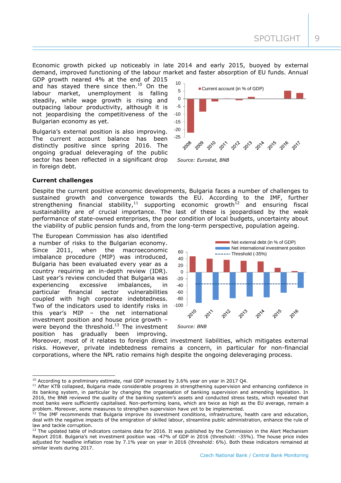Economic growth picked up noticeably in late 2014 and early 2015, buoyed by external demand, improved functioning of the labour market and faster absorption of EU funds. Annual

GDP growth neared 4% at the end of 2015 and has stayed there since then. $10$  On the labour market, unemployment is falling steadily, while wage growth is rising and outpacing labour productivity, although it is not jeopardising the competitiveness of the Bulgarian economy as yet.

Bulgaria's external position is also improving. The current account balance has been distinctly positive since spring 2016. The ongoing gradual deleveraging of the public sector has been reflected in a significant drop in foreign debt.



## **Current challenges**

-

Despite the current positive economic developments, Bulgaria faces a number of challenges to sustained growth and convergence towards the EU. According to the IMF, further strengthening financial stability,<sup>11</sup> supporting economic growth<sup>12</sup> and ensuring fiscal sustainability are of crucial importance. The last of these is jeopardised by the weak performance of state-owned enterprises, the poor condition of local budgets, uncertainty about the viability of public pension funds and, from the long-term perspective, population ageing.

The European Commission has also identified a number of risks to the Bulgarian economy. Since 2011, when the macroeconomic imbalance procedure (MIP) was introduced, Bulgaria has been evaluated every year as a country requiring an in-depth review (IDR). Last year's review concluded that Bulgaria was experiencing excessive imbalances, in particular financial sector vulnerabilities coupled with high corporate indebtedness. Two of the indicators used to identify risks in this year's MIP – the net international investment position and house price growth – were beyond the threshold.<sup>13</sup> The investment position has gradually been improving.



Moreover, most of it relates to foreign direct investment liabilities, which mitigates external risks. However, private indebtedness remains a concern, in particular for non-financial corporations, where the NPL ratio remains high despite the ongoing deleveraging process.

<sup>&</sup>lt;sup>10</sup> According to a preliminary estimate, real GDP increased by 3.6% year on year in 2017 Q4.

<sup>&</sup>lt;sup>11</sup> After KTB collapsed, Bulgaria made considerable progress in strengthening supervision and enhancing confidence in its banking system, in particular by changing the organisation of banking supervision and amending legislation. In 2016, the BNB reviewed the quality of the banking system's assets and conducted stress tests, which revealed that most banks were sufficiently capitalised. Non-performing loans, which are twice as high as the EU average, remain a problem. Moreover, some measures to strengthen supervision have yet to be implemented.

 $12$  The IMF recommends that Bulgaria improve its investment conditions, infrastructure, health care and education, deal with the negative impacts of the emigration of skilled labour, streamline public administration, enhance the rule of law and tackle corruption.

<sup>&</sup>lt;sup>13</sup> The updated table of indicators contains data for 2016. It was published by the Commission in the Alert Mechanism Report 2018. Bulgaria's net investment position was -47% of GDP in 2016 (threshold: -35%). The house price index adjusted for headline inflation rose by 7.1% year on year in 2016 (threshold: 6%). Both these indicators remained at similar levels during 2017.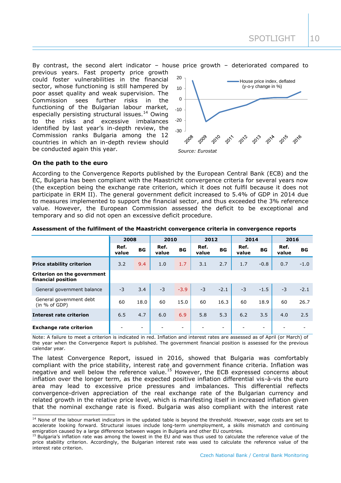By contrast, the second alert indicator – house price growth – deteriorated compared to previous years. Fast property price growth could foster vulnerabilities in the financial sector, whose functioning is still hampered by poor asset quality and weak supervision. The Commission sees further risks in the functioning of the Bulgarian labour market, especially persisting structural issues.<sup>14</sup> Owing to the risks and excessive imbalances identified by last year's in-depth review, the Commission ranks Bulgaria among the 12 countries in which an in-depth review should be conducted again this year.



### **On the path to the euro**

-

According to the Convergence Reports published by the European Central Bank (ECB) and the EC, Bulgaria has been compliant with the Maastricht convergence criteria for several years now (the exception being the exchange rate criterion, which it does not fulfil because it does not participate in ERM II). The general government deficit increased to 5.4% of GDP in 2014 due to measures implemented to support the financial sector, and thus exceeded the 3% reference value. However, the European Commission assessed the deficit to be exceptional and temporary and so did not open an excessive deficit procedure.

|                                                   | 2008          |                          | 2010          |                          | 2012          |                   | 2014          |           | 2016          |        |
|---------------------------------------------------|---------------|--------------------------|---------------|--------------------------|---------------|-------------------|---------------|-----------|---------------|--------|
|                                                   | Ref.<br>value | <b>BG</b>                | Ref.<br>value | <b>BG</b>                | Ref.<br>value | BG                | Ref.<br>value | <b>BG</b> | Ref.<br>value | BG     |
| <b>Price stability criterion</b>                  | 3.2           | 9.4                      | 1.0           | 1.7                      | 3.1           | 2.7               | 1.7           | $-0.8$    | 0.7           | $-1.0$ |
| Criterion on the government<br>financial position |               |                          |               |                          |               |                   |               |           |               |        |
| General government balance                        | $-3$          | 3.4                      | $-3$          | $-3.9$                   | $-3$          | $-2.1$            | $-3$          | $-1.5$    | $-3$          | $-2.1$ |
| General government debt<br>(in % of GDP)          | 60            | 18.0                     | 60            | 15.0                     | 60            | 16.3              | 60            | 18.9      | 60            | 26.7   |
| <b>Interest rate criterion</b>                    | 6.5           | 4.7                      | 6.0           | 6.9                      | 5.8           | 5.3               | 6.2           | 3.5       | 4.0           | 2.5    |
| <b>Exchange rate criterion</b>                    |               | $\overline{\phantom{0}}$ |               | $\overline{\phantom{0}}$ |               | $\qquad \qquad -$ |               |           |               |        |

#### **Assessment of the fulfilment of the Maastricht convergence criteria in convergence reports**

Note: A failure to meet a criterion is indicated in red. Inflation and interest rates are assessed as of April (or March) of the year when the Convergence Report is published. The government financial position is assessed for the previous calendar year.

The latest Convergence Report, issued in 2016, showed that Bulgaria was comfortably compliant with the price stability, interest rate and government finance criteria. Inflation was negative and well below the reference value.<sup>15</sup> However, the ECB expressed concerns about inflation over the longer term, as the expected positive inflation differential vis-à-vis the euro area may lead to excessive price pressures and imbalances. This differential reflects convergence-driven appreciation of the real exchange rate of the Bulgarian currency and related growth in the relative price level, which is manifesting itself in increased inflation given that the nominal exchange rate is fixed. Bulgaria was also compliant with the interest rate

 $14$  None of the labour market indicators in the updated table is beyond the threshold. However, wage costs are set to accelerate looking forward. Structural issues include long-term unemployment, a skills mismatch and continuing emigration caused by a large difference between wages in Bulgaria and other EU countries.

 $15$  Bulgaria's inflation rate was among the lowest in the EU and was thus used to calculate the reference value of the price stability criterion. Accordingly, the Bulgarian interest rate was used to calculate the reference value of the interest rate criterion.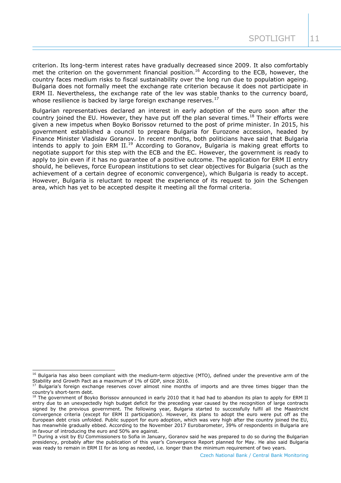criterion. Its long-term interest rates have gradually decreased since 2009. It also comfortably met the criterion on the government financial position.<sup>16</sup> According to the ECB, however, the country faces medium risks to fiscal sustainability over the long run due to population ageing. Bulgaria does not formally meet the exchange rate criterion because it does not participate in ERM II. Nevertheless, the exchange rate of the lev was stable thanks to the currency board, whose resilience is backed by large foreign exchange reserves. $17$ 

Bulgarian representatives declared an interest in early adoption of the euro soon after the country joined the EU. However, they have put off the plan several times.<sup>18</sup> Their efforts were given a new impetus when Boyko Borissov returned to the post of prime minister. In 2015, his government established a council to prepare Bulgaria for Eurozone accession, headed by Finance Minister Vladislav Goranov. In recent months, both politicians have said that Bulgaria intends to apply to join ERM II.<sup>19</sup> According to Goranov, Bulgaria is making great efforts to negotiate support for this step with the ECB and the EC. However, the government is ready to apply to join even if it has no guarantee of a positive outcome. The application for ERM II entry should, he believes, force European institutions to set clear objectives for Bulgaria (such as the achievement of a certain degree of economic convergence), which Bulgaria is ready to accept. However, Bulgaria is reluctant to repeat the experience of its request to join the Schengen area, which has yet to be accepted despite it meeting all the formal criteria.

-

<sup>&</sup>lt;sup>16</sup> Bulgaria has also been compliant with the medium-term objective (MTO), defined under the preventive arm of the Stability and Growth Pact as a maximum of 1% of GDP, since 2016.

Bulgaria's foreign exchange reserves cover almost nine months of imports and are three times bigger than the country's short-term debt.

<sup>&</sup>lt;sup>18</sup> The government of Boyko Borissov announced in early 2010 that it had had to abandon its plan to apply for ERM II entry due to an unexpectedly high budget deficit for the preceding year caused by the recognition of large contracts signed by the previous government. The following year, Bulgaria started to successfully fulfil all the Maastricht convergence criteria (except for ERM II participation). However, its plans to adopt the euro were put off as the European debt crisis unfolded. Public support for euro adoption, which was very high after the country joined the EU, has meanwhile gradually ebbed. According to the November 2017 Eurobarometer, 39% of respondents in Bulgaria are in favour of introducing the euro and 50% are against.

<sup>&</sup>lt;sup>19</sup> During a visit by EU Commissioners to Sofia in January, Goranov said he was prepared to do so during the Bulgarian presidency, probably after the publication of this year's Convergence Report planned for May. He also said Bulgaria was ready to remain in ERM II for as long as needed, i.e. longer than the minimum requirement of two years.